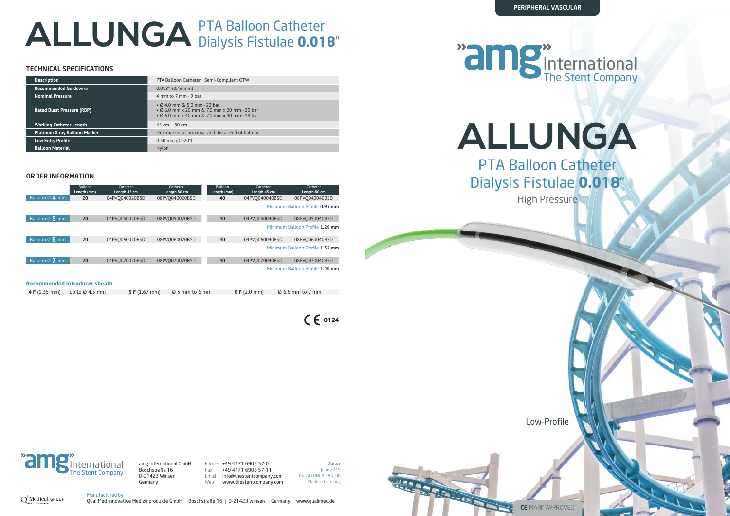# **ALLUNGA** PTA Balloon Catheter Dialysis Fistulae **0.018**"

**ALLUNGA** PTA Balloon Catheter Dialysis Fistulae **0.018**" High Pressure



**Status** June 2015 PS ALLUNGA 18D\_00 Made in Germany



Low-Profile



Phone +49 4171 6905 57-0 Fax +49 4171 6905 57-11 Email info@thestentcompany.com Web www.thestentcompany.com



amg International GmbH Boschstraße 16 D-21423 Winsen Germany

# The Stent Company International



|                                      | Balloon<br>Length (mm) | Catheter<br>Length 45 cm | Catheter<br>Length 80 cm | Balloon<br>Length (mm) | Catheter<br>Length 45 cm | Catheter<br>Length 80 cm        |  |
|--------------------------------------|------------------------|--------------------------|--------------------------|------------------------|--------------------------|---------------------------------|--|
| Balloon Ø 4 mm                       | 20                     | 04PVO040020BSD           | 08PVO040020BSD           | 40                     | 04PVO040040BSD           | 08PVO040040BSD                  |  |
|                                      |                        |                          |                          |                        |                          | Minimum Balloon Profile 0.95 mm |  |
| Balloon $\emptyset$ 5 mm             | 20                     | 04PVO050020BSD           | 08PVO050020BSD           | 40                     | 04PVO050040BSD           | 08PVO050040BSD                  |  |
|                                      |                        |                          |                          |                        |                          | Minimum Balloon Profile 1.20 mm |  |
| Balloon $\emptyset$ 6 mm             | 20                     | 04PVO060020BSD           | 08PVO060020BSD           | 40                     | 04PVO060040BSD           | 08PVO060040BSD                  |  |
|                                      |                        |                          |                          |                        |                          | Minimum Balloon Profile 1.35 mm |  |
| Balloon Ø 7 mm                       | 20                     | 04PVO070020BSD           | 08PVO070020BSD           | 40                     | 04PVO070040BSD           | 08PVO070040BSD                  |  |
|                                      |                        |                          |                          |                        |                          | Minimum Balloon Profile 1.40 mm |  |
| <b>Recommended introducer sheath</b> |                        |                          |                          |                        |                          |                                 |  |

## TECHNICAL SPECIFICATIONS

#### ORDER INFORMATION

| <b>Recommended Guidewire</b><br>$0.018$ " (0.46 mm)<br><b>Nominal Pressure</b><br>4 mm to 7 mm - 9 bar                                                                            |
|-----------------------------------------------------------------------------------------------------------------------------------------------------------------------------------|
|                                                                                                                                                                                   |
|                                                                                                                                                                                   |
| $\bullet$ Ø 4.0 mm & 5.0 mm - 22 bar<br>• Ø 6.0 mm x 20 mm & 7.0 mm x 20 mm - 20 bar<br><b>Rated Burst Pressure (RBP)</b><br>$\bullet$ Ø 6.0 mm x 40 mm & 7.0 mm x 40 mm - 18 bar |
| 45 cm 80 cm<br><b>Working Catheter Length</b>                                                                                                                                     |
| <b>Platinum X ray Balloon Marker</b><br>One marker at proximal and distal end of balloon                                                                                          |
| <b>Low Entry Profile</b><br>$0.50$ mm $(0.020)$                                                                                                                                   |
| <b>Balloon Material</b><br>Nylon                                                                                                                                                  |

 **4 F** (1.35 mm) up to Ø 4.5 mm **5 F** (1.67 mm) Ø 5 mm to 6 mm **6 F** (2.0 mm) Ø 6.5 mm to 7 mm

 $C \in 0124$ 

Manufactured by

QualiMed Innovative Medizinprodukte GmbH | Boschstraße 16 | D-21423 Winsen | Germany | www.qualimed.de